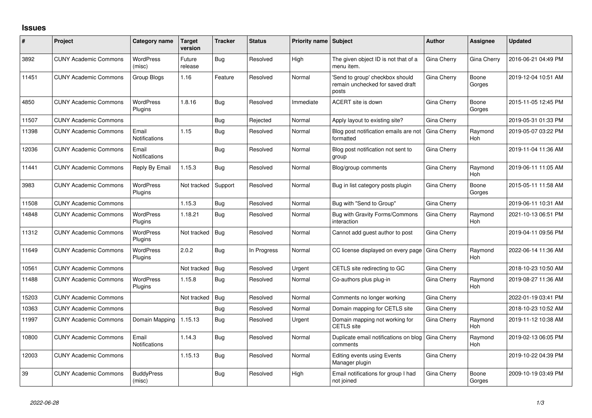## **Issues**

| #     | Project                      | Category name                 | <b>Target</b><br>version | <b>Tracker</b> | <b>Status</b> | <b>Priority name Subject</b> |                                                                              | <b>Author</b> | Assignee              | <b>Updated</b>      |
|-------|------------------------------|-------------------------------|--------------------------|----------------|---------------|------------------------------|------------------------------------------------------------------------------|---------------|-----------------------|---------------------|
| 3892  | <b>CUNY Academic Commons</b> | <b>WordPress</b><br>(misc)    | Future<br>release        | <b>Bug</b>     | Resolved      | High                         | The given object ID is not that of a<br>menu item.                           | Gina Cherry   | Gina Cherry           | 2016-06-21 04:49 PM |
| 11451 | <b>CUNY Academic Commons</b> | Group Blogs                   | 1.16                     | Feature        | Resolved      | Normal                       | 'Send to group' checkbox should<br>remain unchecked for saved draft<br>posts | Gina Cherry   | Boone<br>Gorges       | 2019-12-04 10:51 AM |
| 4850  | <b>CUNY Academic Commons</b> | <b>WordPress</b><br>Plugins   | 1.8.16                   | <b>Bug</b>     | Resolved      | Immediate                    | ACERT site is down                                                           | Gina Cherry   | Boone<br>Gorges       | 2015-11-05 12:45 PM |
| 11507 | <b>CUNY Academic Commons</b> |                               |                          | <b>Bug</b>     | Rejected      | Normal                       | Apply layout to existing site?                                               | Gina Cherry   |                       | 2019-05-31 01:33 PM |
| 11398 | <b>CUNY Academic Commons</b> | Email<br>Notifications        | 1.15                     | <b>Bug</b>     | Resolved      | Normal                       | Blog post notification emails are not<br>formatted                           | Gina Cherry   | Raymond<br>Hoh        | 2019-05-07 03:22 PM |
| 12036 | <b>CUNY Academic Commons</b> | Email<br>Notifications        |                          | <b>Bug</b>     | Resolved      | Normal                       | Blog post notification not sent to<br>group                                  | Gina Cherry   |                       | 2019-11-04 11:36 AM |
| 11441 | <b>CUNY Academic Commons</b> | Reply By Email                | 1.15.3                   | Bug            | Resolved      | Normal                       | Blog/group comments                                                          | Gina Cherry   | Raymond<br>Hoh        | 2019-06-11 11:05 AM |
| 3983  | <b>CUNY Academic Commons</b> | <b>WordPress</b><br>Plugins   | Not tracked              | Support        | Resolved      | Normal                       | Bug in list category posts plugin                                            | Gina Cherry   | Boone<br>Gorges       | 2015-05-11 11:58 AM |
| 11508 | <b>CUNY Academic Commons</b> |                               | 1.15.3                   | Bug            | Resolved      | Normal                       | Bug with "Send to Group"                                                     | Gina Cherry   |                       | 2019-06-11 10:31 AM |
| 14848 | <b>CUNY Academic Commons</b> | <b>WordPress</b><br>Plugins   | 1.18.21                  | <b>Bug</b>     | Resolved      | Normal                       | Bug with Gravity Forms/Commons<br>interaction                                | Gina Cherry   | Raymond<br>Hoh        | 2021-10-13 06:51 PM |
| 11312 | <b>CUNY Academic Commons</b> | <b>WordPress</b><br>Plugins   | Not tracked              | Bug            | Resolved      | Normal                       | Cannot add guest author to post                                              | Gina Cherry   |                       | 2019-04-11 09:56 PM |
| 11649 | <b>CUNY Academic Commons</b> | <b>WordPress</b><br>Plugins   | 2.0.2                    | Bug            | In Progress   | Normal                       | CC license displayed on every page                                           | Gina Cherry   | Raymond<br>Hoh        | 2022-06-14 11:36 AM |
| 10561 | <b>CUNY Academic Commons</b> |                               | Not tracked              | Bug            | Resolved      | Urgent                       | CETLS site redirecting to GC                                                 | Gina Cherry   |                       | 2018-10-23 10:50 AM |
| 11488 | <b>CUNY Academic Commons</b> | <b>WordPress</b><br>Plugins   | 1.15.8                   | Bug            | Resolved      | Normal                       | Co-authors plus plug-in                                                      | Gina Cherry   | Raymond<br>Hoh        | 2019-08-27 11:36 AM |
| 15203 | <b>CUNY Academic Commons</b> |                               | Not tracked              | <b>Bug</b>     | Resolved      | Normal                       | Comments no longer working                                                   | Gina Cherry   |                       | 2022-01-19 03:41 PM |
| 10363 | <b>CUNY Academic Commons</b> |                               |                          | Bug            | Resolved      | Normal                       | Domain mapping for CETLS site                                                | Gina Cherry   |                       | 2018-10-23 10:52 AM |
| 11997 | <b>CUNY Academic Commons</b> | Domain Mapping                | 1.15.13                  | Bug            | Resolved      | Urgent                       | Domain mapping not working for<br><b>CETLS</b> site                          | Gina Cherry   | Raymond<br><b>Hoh</b> | 2019-11-12 10:38 AM |
| 10800 | <b>CUNY Academic Commons</b> | Email<br><b>Notifications</b> | 1.14.3                   | Bug            | Resolved      | Normal                       | Duplicate email notifications on blog<br>comments                            | Gina Cherry   | Raymond<br>Hoh        | 2019-02-13 06:05 PM |
| 12003 | <b>CUNY Academic Commons</b> |                               | 1.15.13                  | <b>Bug</b>     | Resolved      | Normal                       | Editing events using Events<br>Manager plugin                                | Gina Cherry   |                       | 2019-10-22 04:39 PM |
| 39    | <b>CUNY Academic Commons</b> | <b>BuddyPress</b><br>(misc)   |                          | Bug            | Resolved      | High                         | Email notifications for group I had<br>not joined                            | Gina Cherry   | Boone<br>Gorges       | 2009-10-19 03:49 PM |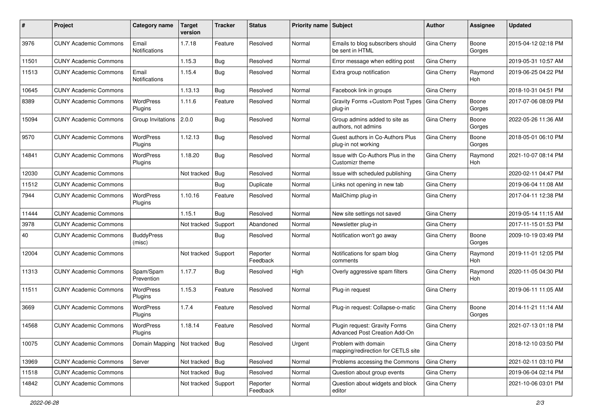| #     | Project                      | <b>Category name</b>        | <b>Target</b><br>version | <b>Tracker</b> | <b>Status</b>        | Priority name Subject |                                                                | Author             | Assignee              | <b>Updated</b>      |
|-------|------------------------------|-----------------------------|--------------------------|----------------|----------------------|-----------------------|----------------------------------------------------------------|--------------------|-----------------------|---------------------|
| 3976  | <b>CUNY Academic Commons</b> | Email<br>Notifications      | 1.7.18                   | Feature        | Resolved             | Normal                | Emails to blog subscribers should<br>be sent in HTML           | Gina Cherry        | Boone<br>Gorges       | 2015-04-12 02:18 PM |
| 11501 | <b>CUNY Academic Commons</b> |                             | 1.15.3                   | Bug            | Resolved             | Normal                | Error message when editing post                                | Gina Cherry        |                       | 2019-05-31 10:57 AM |
| 11513 | <b>CUNY Academic Commons</b> | Email<br>Notifications      | 1.15.4                   | Bug            | Resolved             | Normal                | Extra group notification                                       | Gina Cherry        | Raymond<br>Hoh        | 2019-06-25 04:22 PM |
| 10645 | <b>CUNY Academic Commons</b> |                             | 1.13.13                  | Bug            | Resolved             | Normal                | Facebook link in groups                                        | Gina Cherry        |                       | 2018-10-31 04:51 PM |
| 8389  | <b>CUNY Academic Commons</b> | WordPress<br>Plugins        | 1.11.6                   | Feature        | Resolved             | Normal                | Gravity Forms + Custom Post Types<br>plug-in                   | Gina Cherry        | Boone<br>Gorges       | 2017-07-06 08:09 PM |
| 15094 | <b>CUNY Academic Commons</b> | Group Invitations 2.0.0     |                          | Bug            | Resolved             | Normal                | Group admins added to site as<br>authors, not admins           | Gina Cherry        | Boone<br>Gorges       | 2022-05-26 11:36 AM |
| 9570  | <b>CUNY Academic Commons</b> | <b>WordPress</b><br>Plugins | 1.12.13                  | Bug            | Resolved             | Normal                | Guest authors in Co-Authors Plus<br>plug-in not working        | Gina Cherry        | Boone<br>Gorges       | 2018-05-01 06:10 PM |
| 14841 | <b>CUNY Academic Commons</b> | <b>WordPress</b><br>Plugins | 1.18.20                  | <b>Bug</b>     | Resolved             | Normal                | Issue with Co-Authors Plus in the<br>Customizr theme           | Gina Cherry        | Raymond<br>Hoh        | 2021-10-07 08:14 PM |
| 12030 | <b>CUNY Academic Commons</b> |                             | Not tracked              | Bug            | Resolved             | Normal                | Issue with scheduled publishing                                | Gina Cherry        |                       | 2020-02-11 04:47 PM |
| 11512 | <b>CUNY Academic Commons</b> |                             |                          | Bug            | Duplicate            | Normal                | Links not opening in new tab                                   | Gina Cherry        |                       | 2019-06-04 11:08 AM |
| 7944  | <b>CUNY Academic Commons</b> | <b>WordPress</b><br>Plugins | 1.10.16                  | Feature        | Resolved             | Normal                | MailChimp plug-in                                              | Gina Cherry        |                       | 2017-04-11 12:38 PM |
| 11444 | <b>CUNY Academic Commons</b> |                             | 1.15.1                   | Bug            | Resolved             | Normal                | New site settings not saved                                    | Gina Cherry        |                       | 2019-05-14 11:15 AM |
| 3978  | <b>CUNY Academic Commons</b> |                             | Not tracked              | Support        | Abandoned            | Normal                | Newsletter plug-in                                             | Gina Cherry        |                       | 2017-11-15 01:53 PM |
| 40    | <b>CUNY Academic Commons</b> | <b>BuddyPress</b><br>(misc) |                          | Bug            | Resolved             | Normal                | Notification won't go away                                     | Gina Cherry        | Boone<br>Gorges       | 2009-10-19 03:49 PM |
| 12004 | <b>CUNY Academic Commons</b> |                             | Not tracked              | Support        | Reporter<br>Feedback | Normal                | Notifications for spam blog<br>comments                        | Gina Cherry        | Raymond<br><b>Hoh</b> | 2019-11-01 12:05 PM |
| 11313 | <b>CUNY Academic Commons</b> | Spam/Spam<br>Prevention     | 1.17.7                   | Bug            | Resolved             | High                  | Overly aggressive spam filters                                 | Gina Cherry        | Raymond<br>Hoh        | 2020-11-05 04:30 PM |
| 11511 | <b>CUNY Academic Commons</b> | <b>WordPress</b><br>Plugins | 1.15.3                   | Feature        | Resolved             | Normal                | Plug-in request                                                | Gina Cherry        |                       | 2019-06-11 11:05 AM |
| 3669  | <b>CUNY Academic Commons</b> | WordPress<br>Plugins        | 1.7.4                    | Feature        | Resolved             | Normal                | Plug-in request: Collapse-o-matic                              | Gina Cherry        | Boone<br>Gorges       | 2014-11-21 11:14 AM |
| 14568 | <b>CUNY Academic Commons</b> | WordPress<br>Plugins        | 1.18.14                  | Feature        | Resolved             | Normal                | Plugin request: Gravity Forms<br>Advanced Post Creation Add-On | Gina Cherry        |                       | 2021-07-13 01:18 PM |
| 10075 | <b>CUNY Academic Commons</b> | Domain Mapping              | Not tracked Bug          |                | Resolved             | Urgent                | Problem with domain<br>mapping/redirection for CETLS site      | Gina Cherry        |                       | 2018-12-10 03:50 PM |
| 13969 | <b>CUNY Academic Commons</b> | Server                      | Not tracked   Bug        |                | Resolved             | Normal                | Problems accessing the Commons                                 | <b>Gina Cherry</b> |                       | 2021-02-11 03:10 PM |
| 11518 | <b>CUNY Academic Commons</b> |                             | Not tracked   Bug        |                | Resolved             | Normal                | Question about group events                                    | Gina Cherry        |                       | 2019-06-04 02:14 PM |
| 14842 | <b>CUNY Academic Commons</b> |                             | Not tracked              | Support        | Reporter<br>Feedback | Normal                | Question about widgets and block<br>editor                     | Gina Cherry        |                       | 2021-10-06 03:01 PM |